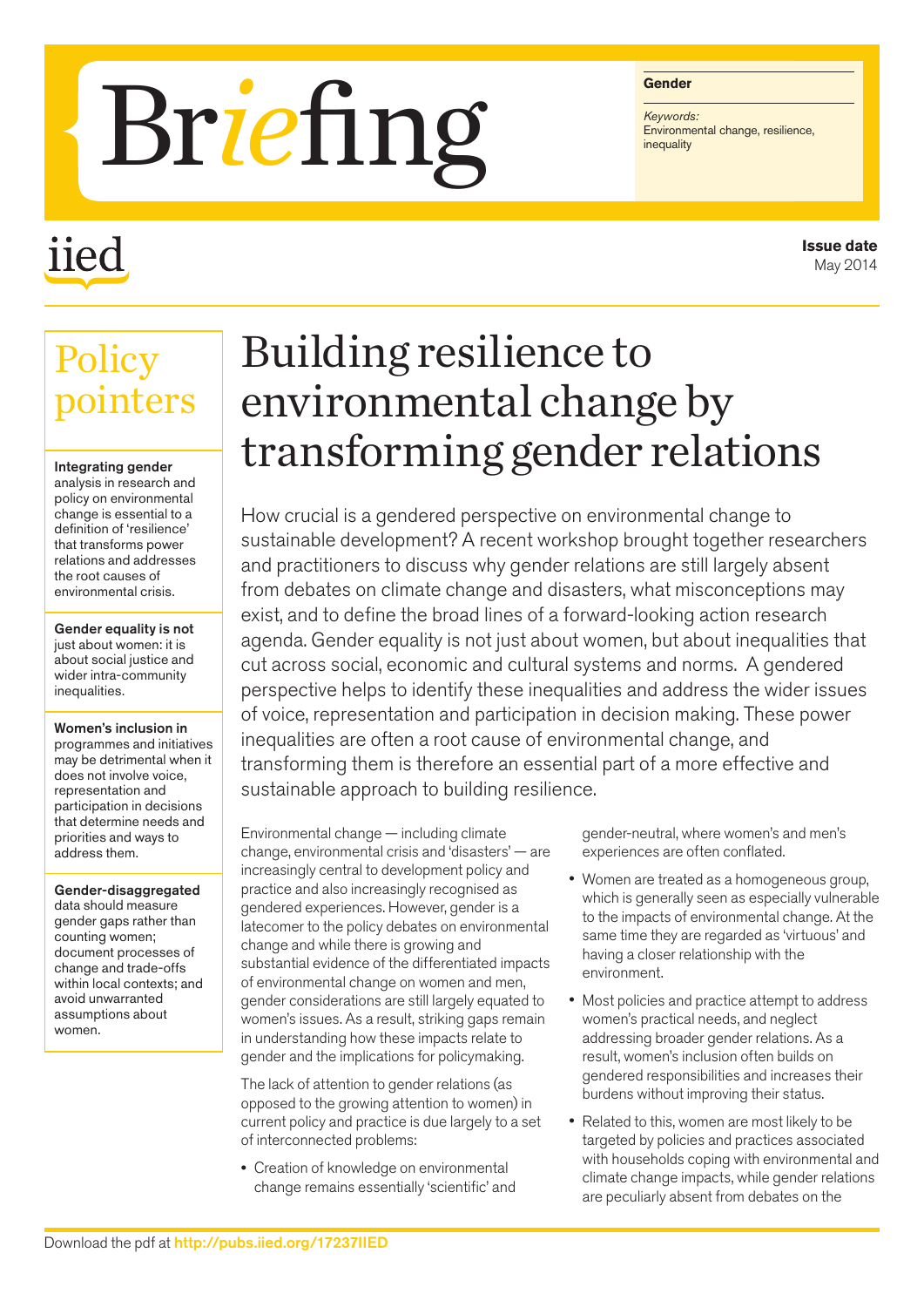# Briefing Find

## iied

#### **Gender**

*Keywords:*

**Issue date** May 2014

### **Policy** pointers

#### Integrating gender

analysis in research and policy on environmental change is essential to a definition of 'resilience' that transforms power relations and addresses the root causes of environmental crisis.

Gender equality is not just about women: it is about social justice and wider intra-community inequalities.

Women's inclusion in programmes and initiatives may be detrimental when it does not involve voice, representation and participation in decisions that determine needs and priorities and ways to address them.

Gender-disaggregated data should measure gender gaps rather than counting women; document processes of change and trade-offs within local contexts; and avoid unwarranted assumptions about women.

## Building resilience to environmental change by transforming gender relations

How crucial is a gendered perspective on environmental change to sustainable development? A recent workshop brought together researchers and practitioners to discuss why gender relations are still largely absent from debates on climate change and disasters, what misconceptions may exist, and to define the broad lines of a forward-looking action research agenda. Gender equality is not just about women, but about inequalities that cut across social, economic and cultural systems and norms. A gendered perspective helps to identify these inequalities and address the wider issues of voice, representation and participation in decision making. These power inequalities are often a root cause of environmental change, and transforming them is therefore an essential part of a more effective and sustainable approach to building resilience.

Environmental change — including climate change, environmental crisis and 'disasters' — are increasingly central to development policy and practice and also increasingly recognised as gendered experiences. However, gender is a latecomer to the policy debates on environmental change and while there is growing and substantial evidence of the differentiated impacts of environmental change on women and men, gender considerations are still largely equated to women's issues. As a result, striking gaps remain in understanding how these impacts relate to gender and the implications for policymaking.

The lack of attention to gender relations (as opposed to the growing attention to women) in current policy and practice is due largely to a set of interconnected problems:

• Creation of knowledge on environmental change remains essentially 'scientific' and gender-neutral, where women's and men's experiences are often conflated.

- Women are treated as a homogeneous group, which is generally seen as especially vulnerable to the impacts of environmental change. At the same time they are regarded as 'virtuous' and having a closer relationship with the environment.
- Most policies and practice attempt to address women's practical needs, and neglect addressing broader gender relations. As a result, women's inclusion often builds on gendered responsibilities and increases their burdens without improving their status.
- Related to this, women are most likely to be targeted by policies and practices associated with households coping with environmental and climate change impacts, while gender relations are peculiarly absent from debates on the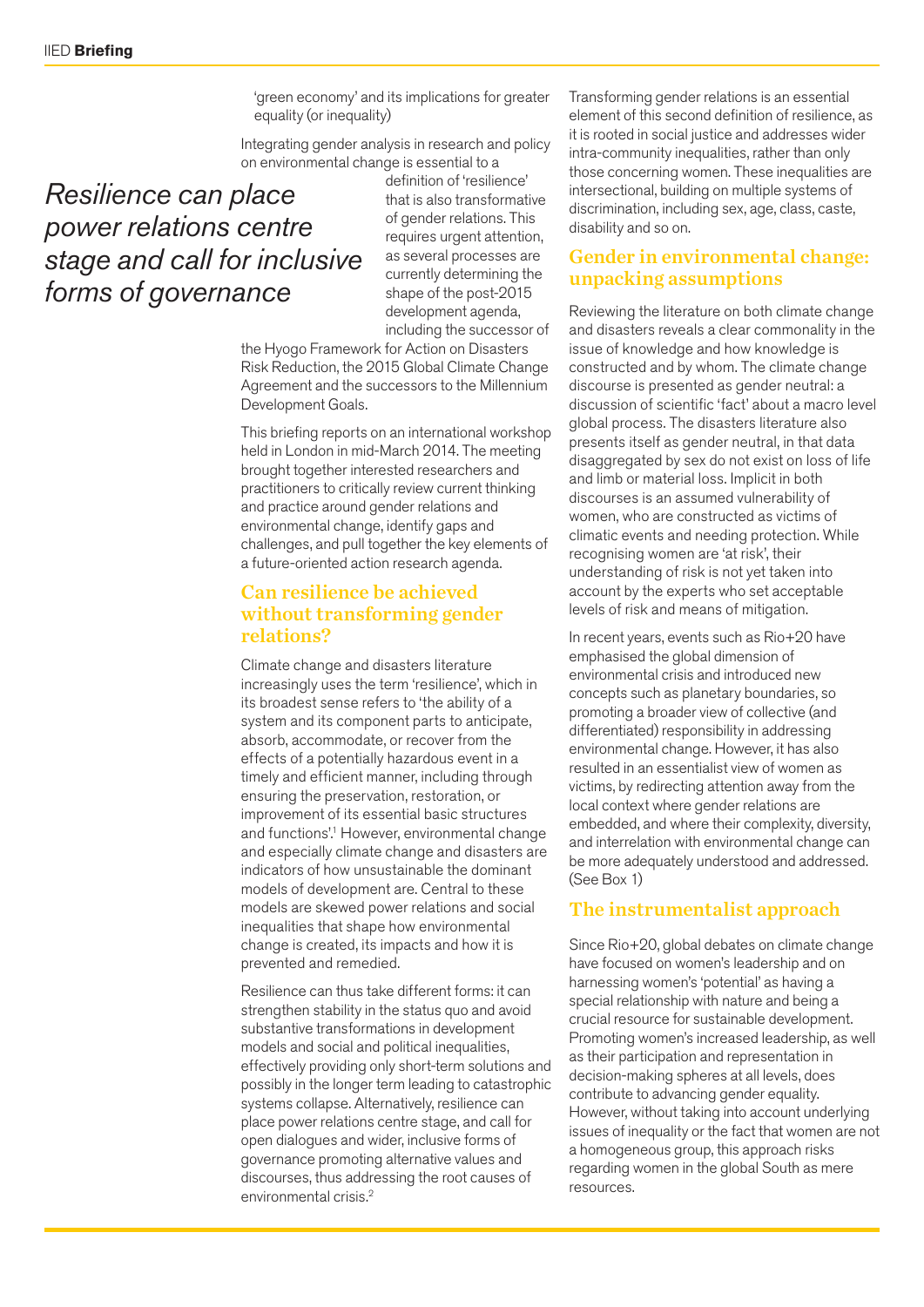'green economy' and its implications for greater equality (or inequality)

Integrating gender analysis in research and policy on environmental change is essential to a

#### *Resilience can place power relations centre stage and call for inclusive forms of governance*

definition of 'resilience' that is also transformative of gender relations. This requires urgent attention, as several processes are currently determining the shape of the post-2015 development agenda, including the successor of

the Hyogo Framework for Action on Disasters Risk Reduction, the 2015 Global Climate Change Agreement and the successors to the Millennium Development Goals.

This briefing reports on an international workshop held in London in mid-March 2014. The meeting brought together interested researchers and practitioners to critically review current thinking and practice around gender relations and environmental change, identify gaps and challenges, and pull together the key elements of a future-oriented action research agenda.

#### Can resilience be achieved without transforming gender relations?

Climate change and disasters literature increasingly uses the term 'resilience', which in its broadest sense refers to 'the ability of a system and its component parts to anticipate, absorb, accommodate, or recover from the effects of a potentially hazardous event in a timely and efficient manner, including through ensuring the preservation, restoration, or improvement of its essential basic structures and functions'.<sup>1</sup> However, environmental change and especially climate change and disasters are indicators of how unsustainable the dominant models of development are. Central to these models are skewed power relations and social inequalities that shape how environmental change is created, its impacts and how it is prevented and remedied.

Resilience can thus take different forms: it can strengthen stability in the status quo and avoid substantive transformations in development models and social and political inequalities, effectively providing only short-term solutions and possibly in the longer term leading to catastrophic systems collapse. Alternatively, resilience can place power relations centre stage, and call for open dialogues and wider, inclusive forms of governance promoting alternative values and discourses, thus addressing the root causes of environmental crisis.2

Transforming gender relations is an essential element of this second definition of resilience, as it is rooted in social justice and addresses wider intra-community inequalities, rather than only those concerning women. These inequalities are intersectional, building on multiple systems of discrimination, including sex, age, class, caste, disability and so on.

#### Gender in environmental change: unpacking assumptions

Reviewing the literature on both climate change and disasters reveals a clear commonality in the issue of knowledge and how knowledge is constructed and by whom. The climate change discourse is presented as gender neutral: a discussion of scientific 'fact' about a macro level global process. The disasters literature also presents itself as gender neutral, in that data disaggregated by sex do not exist on loss of life and limb or material loss. Implicit in both discourses is an assumed vulnerability of women, who are constructed as victims of climatic events and needing protection. While recognising women are 'at risk', their understanding of risk is not yet taken into account by the experts who set acceptable levels of risk and means of mitigation.

In recent years, events such as Rio+20 have emphasised the global dimension of environmental crisis and introduced new concepts such as planetary boundaries, so promoting a broader view of collective (and differentiated) responsibility in addressing environmental change. However, it has also resulted in an essentialist view of women as victims, by redirecting attention away from the local context where gender relations are embedded, and where their complexity, diversity, and interrelation with environmental change can be more adequately understood and addressed. (See Box 1)

#### The instrumentalist approach

Since Rio+20, global debates on climate change have focused on women's leadership and on harnessing women's 'potential' as having a special relationship with nature and being a crucial resource for sustainable development. Promoting women's increased leadership, as well as their participation and representation in decision-making spheres at all levels, does contribute to advancing gender equality. However, without taking into account underlying issues of inequality or the fact that women are not a homogeneous group, this approach risks regarding women in the global South as mere resources.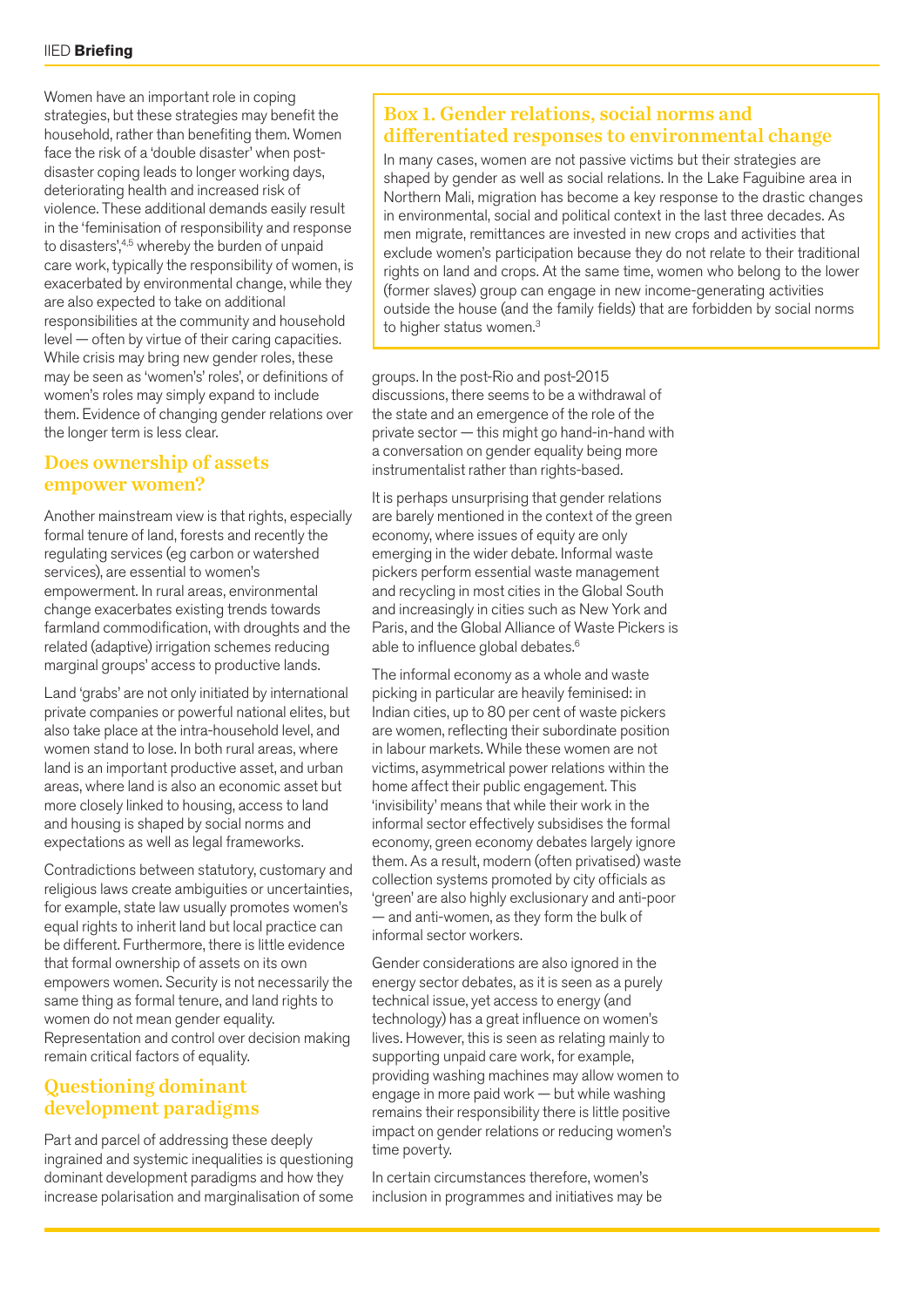Women have an important role in coping strategies, but these strategies may benefit the household, rather than benefiting them. Women face the risk of a 'double disaster' when postdisaster coping leads to longer working days, deteriorating health and increased risk of violence. These additional demands easily result in the 'feminisation of responsibility and response to disasters',<sup>4,5</sup> whereby the burden of unpaid care work, typically the responsibility of women, is exacerbated by environmental change, while they are also expected to take on additional responsibilities at the community and household level — often by virtue of their caring capacities. While crisis may bring new gender roles, these may be seen as 'women's' roles', or definitions of women's roles may simply expand to include them. Evidence of changing gender relations over the longer term is less clear.

#### Does ownership of assets empower women?

Another mainstream view is that rights, especially formal tenure of land, forests and recently the regulating services (eg carbon or watershed services), are essential to women's empowerment. In rural areas, environmental change exacerbates existing trends towards farmland commodification, with droughts and the related (adaptive) irrigation schemes reducing marginal groups' access to productive lands.

Land 'grabs' are not only initiated by international private companies or powerful national elites, but also take place at the intra-household level, and women stand to lose. In both rural areas, where land is an important productive asset, and urban areas, where land is also an economic asset but more closely linked to housing, access to land and housing is shaped by social norms and expectations as well as legal frameworks.

Contradictions between statutory, customary and religious laws create ambiguities or uncertainties, for example, state law usually promotes women's equal rights to inherit land but local practice can be different. Furthermore, there is little evidence that formal ownership of assets on its own empowers women. Security is not necessarily the same thing as formal tenure, and land rights to women do not mean gender equality. Representation and control over decision making remain critical factors of equality.

#### Questioning dominant development paradigms

Part and parcel of addressing these deeply ingrained and systemic inequalities is questioning dominant development paradigms and how they increase polarisation and marginalisation of some

#### Box 1. Gender relations, social norms and differentiated responses to environmental change

In many cases, women are not passive victims but their strategies are shaped by gender as well as social relations. In the Lake Faguibine area in Northern Mali, migration has become a key response to the drastic changes in environmental, social and political context in the last three decades. As men migrate, remittances are invested in new crops and activities that exclude women's participation because they do not relate to their traditional rights on land and crops. At the same time, women who belong to the lower (former slaves) group can engage in new income-generating activities outside the house (and the family fields) that are forbidden by social norms to higher status women.<sup>3</sup>

groups. In the post-Rio and post-2015 discussions, there seems to be a withdrawal of the state and an emergence of the role of the private sector — this might go hand-in-hand with a conversation on gender equality being more instrumentalist rather than rights-based.

It is perhaps unsurprising that gender relations are barely mentioned in the context of the green economy, where issues of equity are only emerging in the wider debate. Informal waste pickers perform essential waste management and recycling in most cities in the Global South and increasingly in cities such as New York and Paris, and the Global Alliance of Waste Pickers is able to influence global debates.<sup>6</sup>

The informal economy as a whole and waste picking in particular are heavily feminised: in Indian cities, up to 80 per cent of waste pickers are women, reflecting their subordinate position in labour markets. While these women are not victims, asymmetrical power relations within the home affect their public engagement. This 'invisibility' means that while their work in the informal sector effectively subsidises the formal economy, green economy debates largely ignore them. As a result, modern (often privatised) waste collection systems promoted by city officials as 'green' are also highly exclusionary and anti-poor — and anti-women, as they form the bulk of informal sector workers.

Gender considerations are also ignored in the energy sector debates, as it is seen as a purely technical issue, yet access to energy (and technology) has a great influence on women's lives. However, this is seen as relating mainly to supporting unpaid care work, for example, providing washing machines may allow women to engage in more paid work — but while washing remains their responsibility there is little positive impact on gender relations or reducing women's time poverty.

In certain circumstances therefore, women's inclusion in programmes and initiatives may be